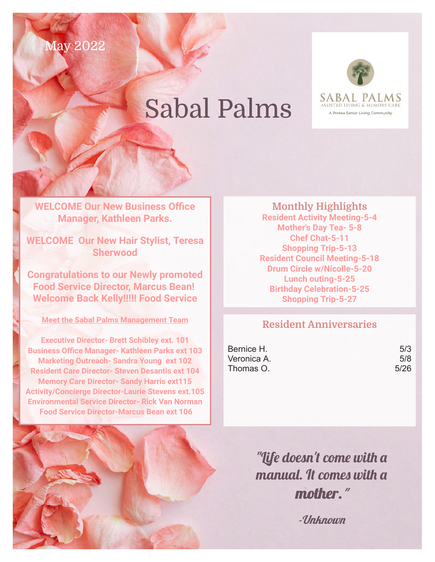May 2022

## Sabal Palms



**WELCOME Our New Business Office Manager, Kathleen Parks.**

**WELCOME Our New Hair Stylist, Teresa Sherwood**

**Congratulations to our Newly promoted Food Service Director, Marcus Bean! Welcome Back Kelly!!!!! Food Service**

**Meet the Sabal Palms Management Team**

**Executive Director- Brett Schibley ext. 101 Business Office Manager- Kathleen Parks ext 103 Marketing Outreach- Sandra Young ext 102 Resident Care Director- Steven Desantis ext 104 Memory Care Director- Sandy Harris ext115 Activity/Concierge Director-Laurie Stevens ext.105 Environmental Service Director- Rick Van Norman Food Service Director-Marcus Bean ext 106**

**Monthly Highlights Resident Activity Meeting-5-4 Mother's Day Tea- 5-8 Chef Chat-5-11 Shopping Trip-5-13 Resident Council Meeting-5-18 Drum Circle w/Nicolle-5-20 Lunch outing-5-25 Birthday Celebration-5-25 Shopping Trip-5-27**

## **Resident Anniversaries**

Bernice H. 5/3 Veronica A. 678  $Thomas O.$   $5/26$ 

"Life doesn't come with a manual. It comes with a mother."

-Unknown